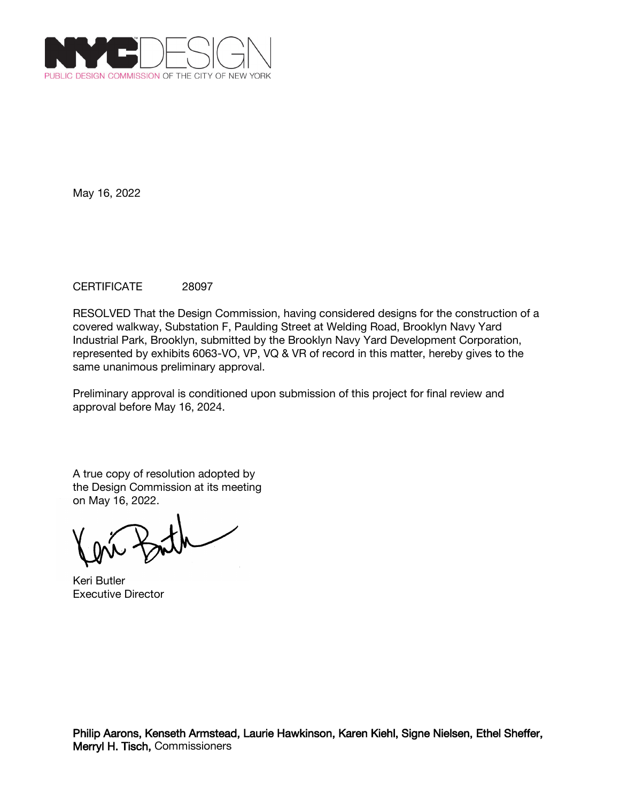

# CERTIFICATE 28097

RESOLVED That the Design Commission, having considered designs for the construction of a covered walkway, Substation F, Paulding Street at Welding Road, Brooklyn Navy Yard Industrial Park, Brooklyn, submitted by the Brooklyn Navy Yard Development Corporation, represented by exhibits 6063-VO, VP, VQ & VR of record in this matter, hereby gives to the same unanimous preliminary approval.

Preliminary approval is conditioned upon submission of this project for final review and approval before May 16, 2024.

Keri Butler Executive Director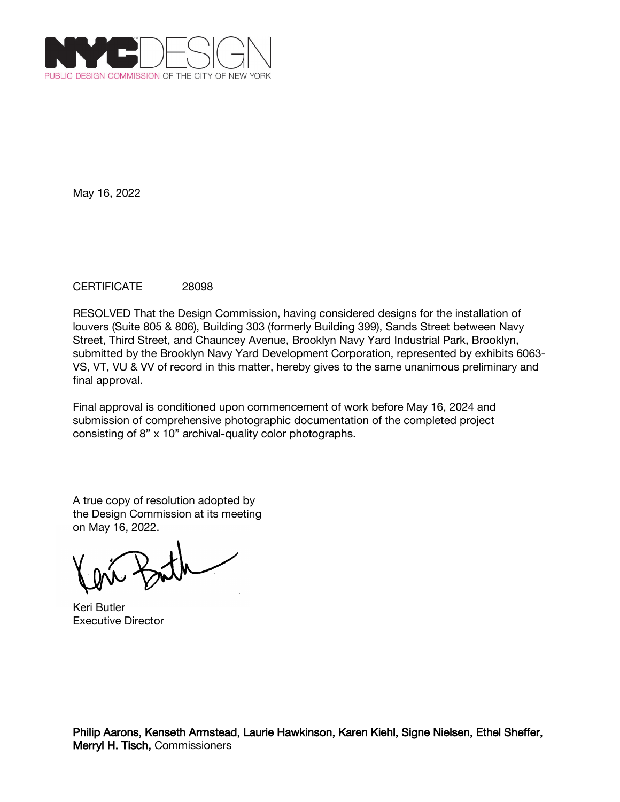

## CERTIFICATE 28098

RESOLVED That the Design Commission, having considered designs for the installation of louvers (Suite 805 & 806), Building 303 (formerly Building 399), Sands Street between Navy Street, Third Street, and Chauncey Avenue, Brooklyn Navy Yard Industrial Park, Brooklyn, submitted by the Brooklyn Navy Yard Development Corporation, represented by exhibits 6063- VS, VT, VU & VV of record in this matter, hereby gives to the same unanimous preliminary and final approval.

Final approval is conditioned upon commencement of work before May 16, 2024 and submission of comprehensive photographic documentation of the completed project consisting of 8" x 10" archival-quality color photographs.

Keri Butler Executive Director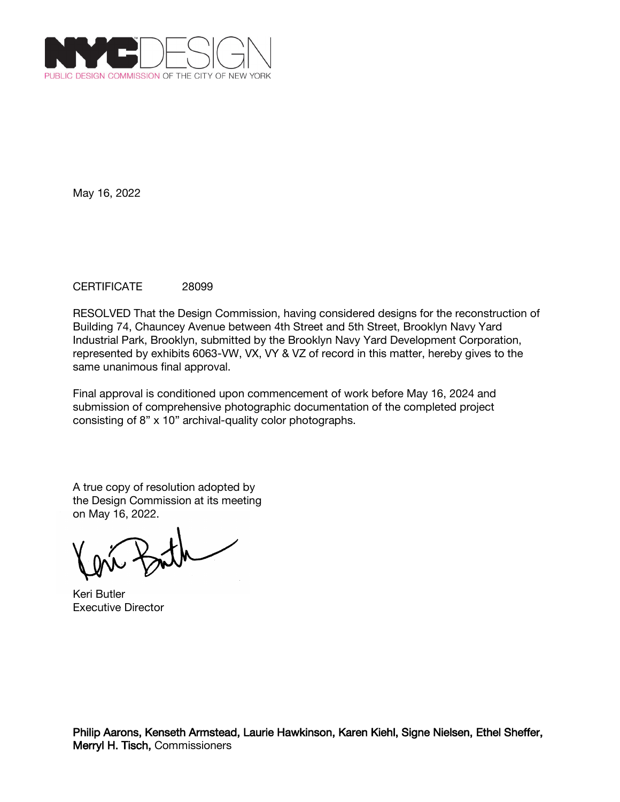

# CERTIFICATE 28099

RESOLVED That the Design Commission, having considered designs for the reconstruction of Building 74, Chauncey Avenue between 4th Street and 5th Street, Brooklyn Navy Yard Industrial Park, Brooklyn, submitted by the Brooklyn Navy Yard Development Corporation, represented by exhibits 6063-VW, VX, VY & VZ of record in this matter, hereby gives to the same unanimous final approval.

Final approval is conditioned upon commencement of work before May 16, 2024 and submission of comprehensive photographic documentation of the completed project consisting of 8" x 10" archival-quality color photographs.

Keri Butler Executive Director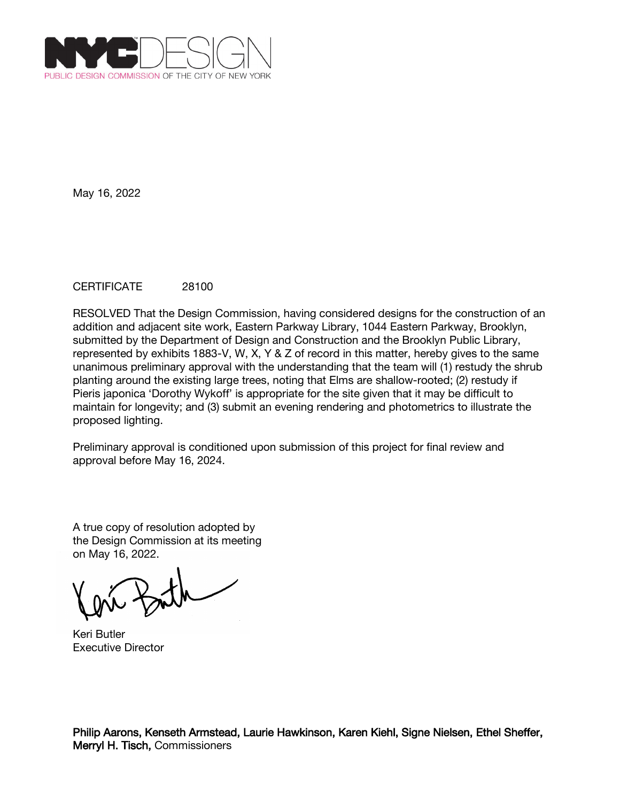

# CERTIFICATE 28100

RESOLVED That the Design Commission, having considered designs for the construction of an addition and adjacent site work, Eastern Parkway Library, 1044 Eastern Parkway, Brooklyn, submitted by the Department of Design and Construction and the Brooklyn Public Library, represented by exhibits 1883-V, W, X, Y & Z of record in this matter, hereby gives to the same unanimous preliminary approval with the understanding that the team will (1) restudy the shrub planting around the existing large trees, noting that Elms are shallow-rooted; (2) restudy if Pieris japonica 'Dorothy Wykoff' is appropriate for the site given that it may be difficult to maintain for longevity; and (3) submit an evening rendering and photometrics to illustrate the proposed lighting.

Preliminary approval is conditioned upon submission of this project for final review and approval before May 16, 2024.

Keri Butler Executive Director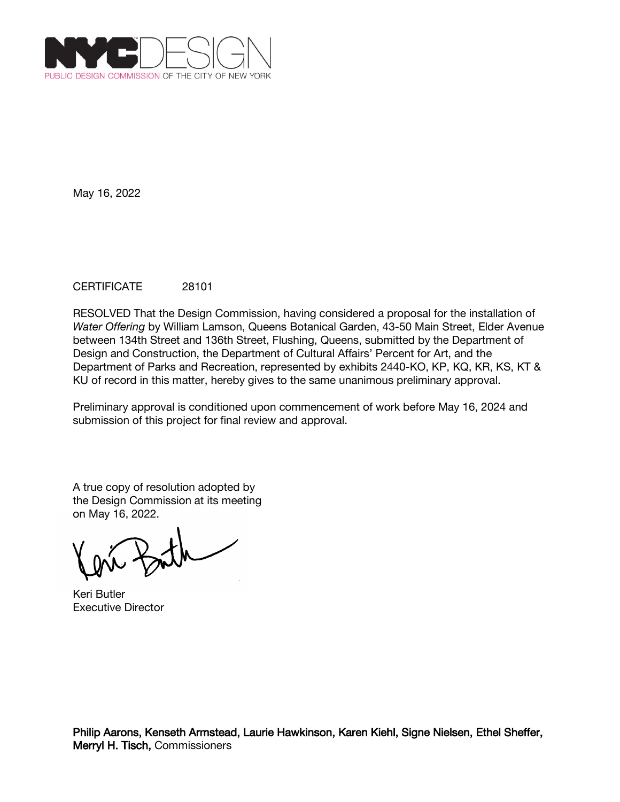

# CERTIFICATE 28101

RESOLVED That the Design Commission, having considered a proposal for the installation of *Water Offering* by William Lamson, Queens Botanical Garden, 43-50 Main Street, Elder Avenue between 134th Street and 136th Street, Flushing, Queens, submitted by the Department of Design and Construction, the Department of Cultural Affairs' Percent for Art, and the Department of Parks and Recreation, represented by exhibits 2440-KO, KP, KQ, KR, KS, KT & KU of record in this matter, hereby gives to the same unanimous preliminary approval.

Preliminary approval is conditioned upon commencement of work before May 16, 2024 and submission of this project for final review and approval.

Keri Butler Executive Director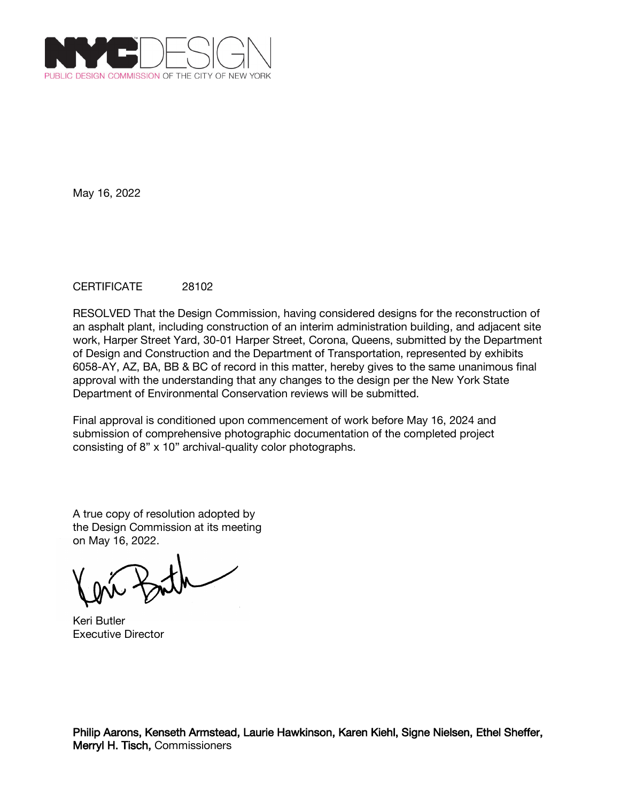

# CERTIFICATE 28102

RESOLVED That the Design Commission, having considered designs for the reconstruction of an asphalt plant, including construction of an interim administration building, and adjacent site work, Harper Street Yard, 30-01 Harper Street, Corona, Queens, submitted by the Department of Design and Construction and the Department of Transportation, represented by exhibits 6058-AY, AZ, BA, BB & BC of record in this matter, hereby gives to the same unanimous final approval with the understanding that any changes to the design per the New York State Department of Environmental Conservation reviews will be submitted.

Final approval is conditioned upon commencement of work before May 16, 2024 and submission of comprehensive photographic documentation of the completed project consisting of 8" x 10" archival-quality color photographs.

Keri Butler Executive Director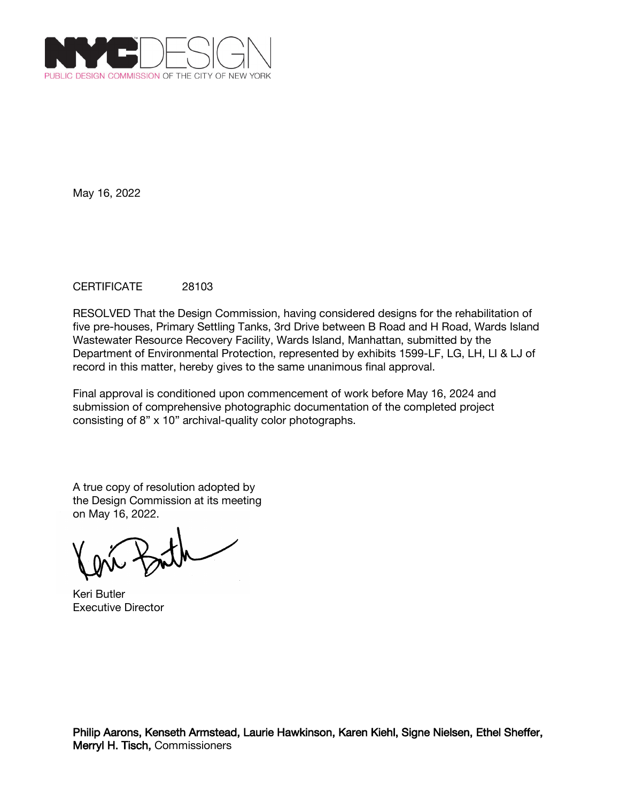

# CERTIFICATE 28103

RESOLVED That the Design Commission, having considered designs for the rehabilitation of five pre-houses, Primary Settling Tanks, 3rd Drive between B Road and H Road, Wards Island Wastewater Resource Recovery Facility, Wards Island, Manhattan, submitted by the Department of Environmental Protection, represented by exhibits 1599-LF, LG, LH, LI & LJ of record in this matter, hereby gives to the same unanimous final approval.

Final approval is conditioned upon commencement of work before May 16, 2024 and submission of comprehensive photographic documentation of the completed project consisting of 8" x 10" archival-quality color photographs.

Keri Butler Executive Director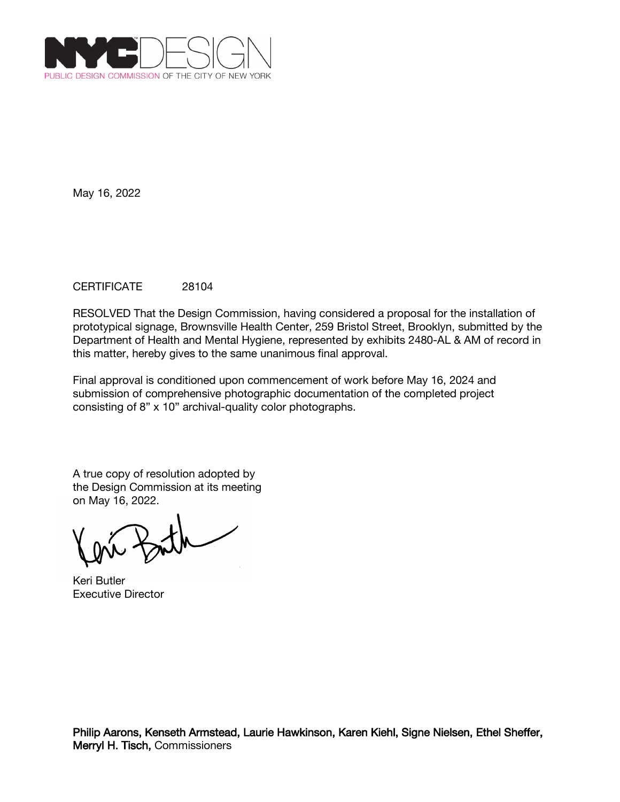

# CERTIFICATE 28104

RESOLVED That the Design Commission, having considered a proposal for the installation of prototypical signage, Brownsville Health Center, 259 Bristol Street, Brooklyn, submitted by the Department of Health and Mental Hygiene, represented by exhibits 2480-AL & AM of record in this matter, hereby gives to the same unanimous final approval.

Final approval is conditioned upon commencement of work before May 16, 2024 and submission of comprehensive photographic documentation of the completed project consisting of 8" x 10" archival-quality color photographs.

Keri Butler Executive Director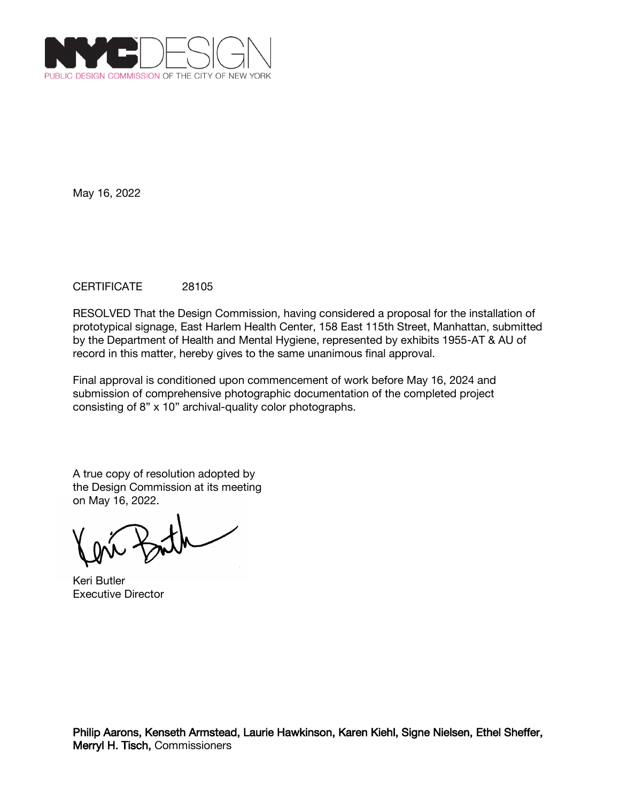

# CERTIFICATE 28105

RESOLVED That the Design Commission, having considered a proposal for the installation of prototypical signage, East Harlem Health Center, 158 East 115th Street, Manhattan, submitted by the Department of Health and Mental Hygiene, represented by exhibits 1955-AT & AU of record in this matter, hereby gives to the same unanimous final approval.

Final approval is conditioned upon commencement of work before May 16, 2024 and submission of comprehensive photographic documentation of the completed project consisting of 8" x 10" archival-quality color photographs.

Keri Butler Executive Director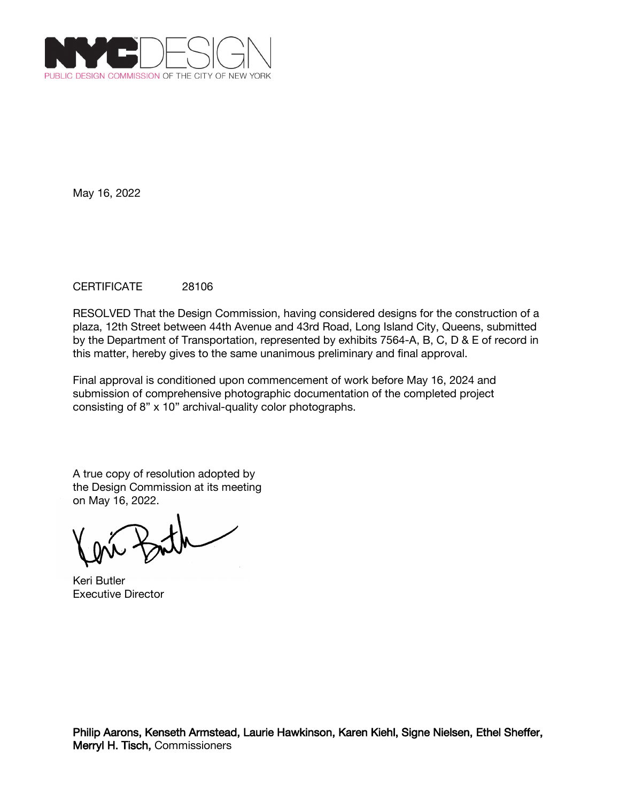

# CERTIFICATE 28106

RESOLVED That the Design Commission, having considered designs for the construction of a plaza, 12th Street between 44th Avenue and 43rd Road, Long Island City, Queens, submitted by the Department of Transportation, represented by exhibits 7564-A, B, C, D & E of record in this matter, hereby gives to the same unanimous preliminary and final approval.

Final approval is conditioned upon commencement of work before May 16, 2024 and submission of comprehensive photographic documentation of the completed project consisting of 8" x 10" archival-quality color photographs.

Keri Butler Executive Director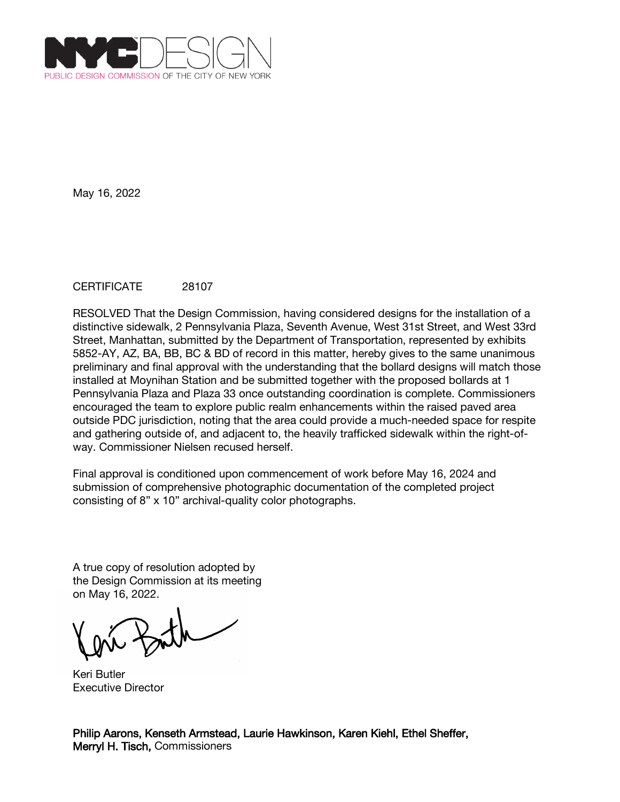

## CERTIFICATE 28107

RESOLVED That the Design Commission, having considered designs for the installation of a distinctive sidewalk, 2 Pennsylvania Plaza, Seventh Avenue, West 31st Street, and West 33rd Street, Manhattan, submitted by the Department of Transportation, represented by exhibits 5852-AY, AZ, BA, BB, BC & BD of record in this matter, hereby gives to the same unanimous preliminary and final approval with the understanding that the bollard designs will match those installed at Moynihan Station and be submitted together with the proposed bollards at 1 Pennsylvania Plaza and Plaza 33 once outstanding coordination is complete. Commissioners encouraged the team to explore public realm enhancements within the raised paved area outside PDC jurisdiction, noting that the area could provide a much-needed space for respite and gathering outside of, and adjacent to, the heavily trafficked sidewalk within the right-ofway. Commissioner Nielsen recused herself.

Final approval is conditioned upon commencement of work before May 16, 2024 and submission of comprehensive photographic documentation of the completed project consisting of 8" x 10" archival-quality color photographs.

A true copy of resolution adopted by the Design Commission at its meeting on May 16, 2022.

Keri Butler Executive Director

Philip Aarons, Kenseth Armstead, Laurie Hawkinson, Karen Kiehl, Ethel Sheffer, Merryl H. Tisch, Commissioners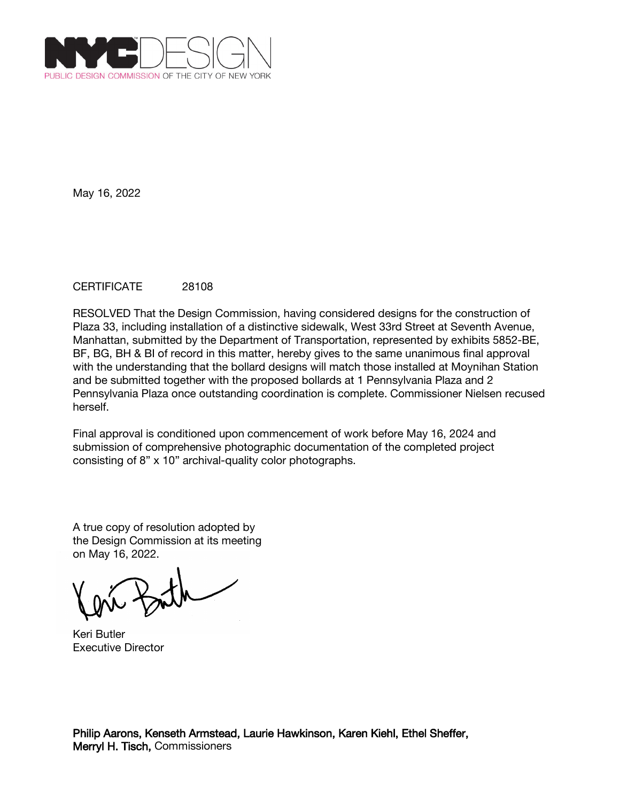

## CERTIFICATE 28108

RESOLVED That the Design Commission, having considered designs for the construction of Plaza 33, including installation of a distinctive sidewalk, West 33rd Street at Seventh Avenue, Manhattan, submitted by the Department of Transportation, represented by exhibits 5852-BE, BF, BG, BH & BI of record in this matter, hereby gives to the same unanimous final approval with the understanding that the bollard designs will match those installed at Moynihan Station and be submitted together with the proposed bollards at 1 Pennsylvania Plaza and 2 Pennsylvania Plaza once outstanding coordination is complete. Commissioner Nielsen recused herself.

Final approval is conditioned upon commencement of work before May 16, 2024 and submission of comprehensive photographic documentation of the completed project consisting of 8" x 10" archival-quality color photographs.

Keri Butler Executive Director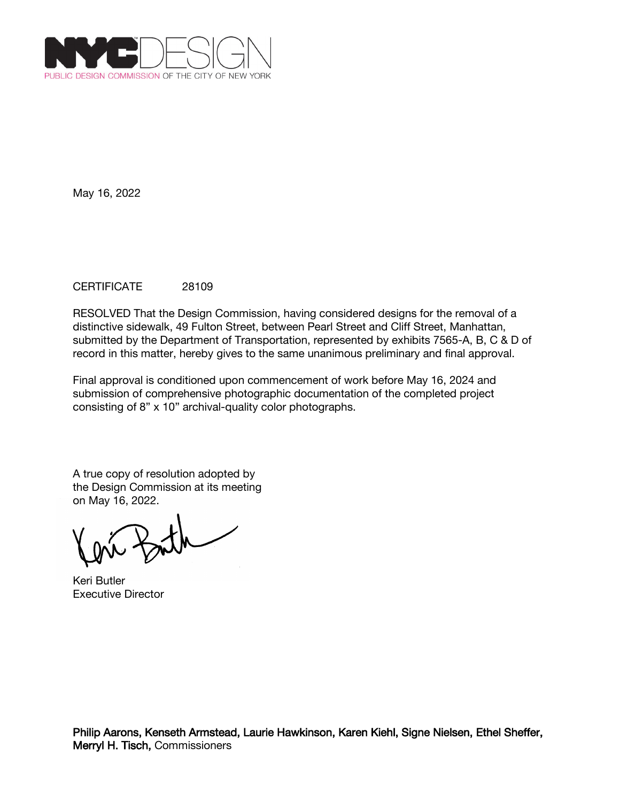

# CERTIFICATE 28109

RESOLVED That the Design Commission, having considered designs for the removal of a distinctive sidewalk, 49 Fulton Street, between Pearl Street and Cliff Street, Manhattan, submitted by the Department of Transportation, represented by exhibits 7565-A, B, C & D of record in this matter, hereby gives to the same unanimous preliminary and final approval.

Final approval is conditioned upon commencement of work before May 16, 2024 and submission of comprehensive photographic documentation of the completed project consisting of 8" x 10" archival-quality color photographs.

Keri Butler Executive Director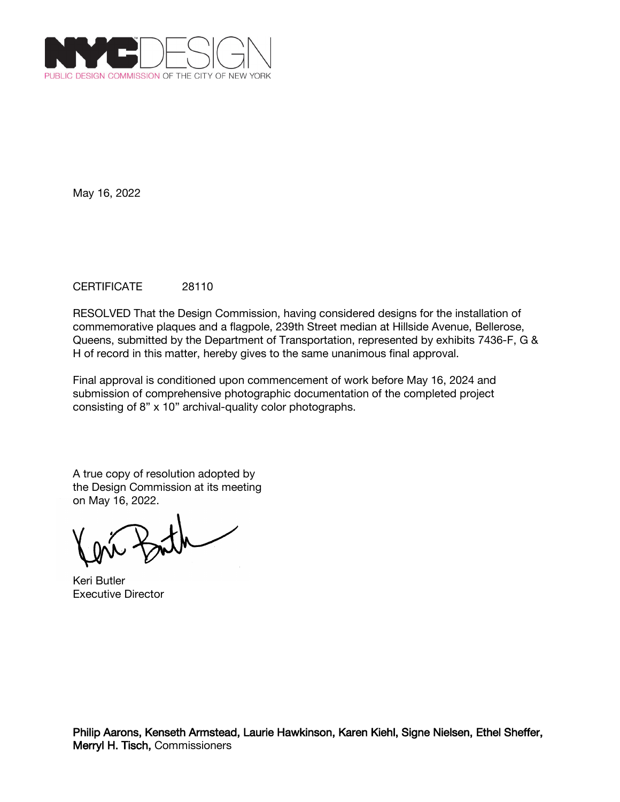

# CERTIFICATE 28110

RESOLVED That the Design Commission, having considered designs for the installation of commemorative plaques and a flagpole, 239th Street median at Hillside Avenue, Bellerose, Queens, submitted by the Department of Transportation, represented by exhibits 7436-F, G & H of record in this matter, hereby gives to the same unanimous final approval.

Final approval is conditioned upon commencement of work before May 16, 2024 and submission of comprehensive photographic documentation of the completed project consisting of 8" x 10" archival-quality color photographs.

Keri Butler Executive Director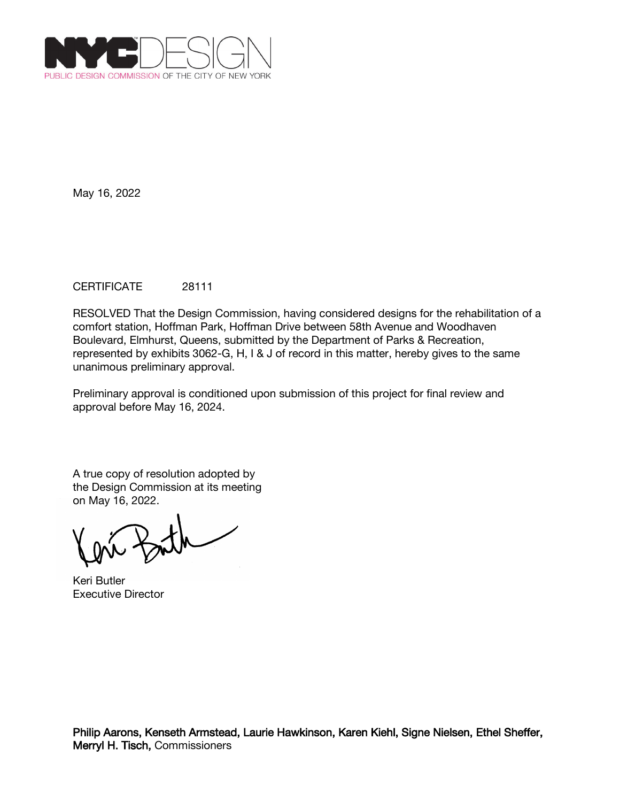

# CERTIFICATE 28111

RESOLVED That the Design Commission, having considered designs for the rehabilitation of a comfort station, Hoffman Park, Hoffman Drive between 58th Avenue and Woodhaven Boulevard, Elmhurst, Queens, submitted by the Department of Parks & Recreation, represented by exhibits 3062-G, H, I & J of record in this matter, hereby gives to the same unanimous preliminary approval.

Preliminary approval is conditioned upon submission of this project for final review and approval before May 16, 2024.

Keri Butler Executive Director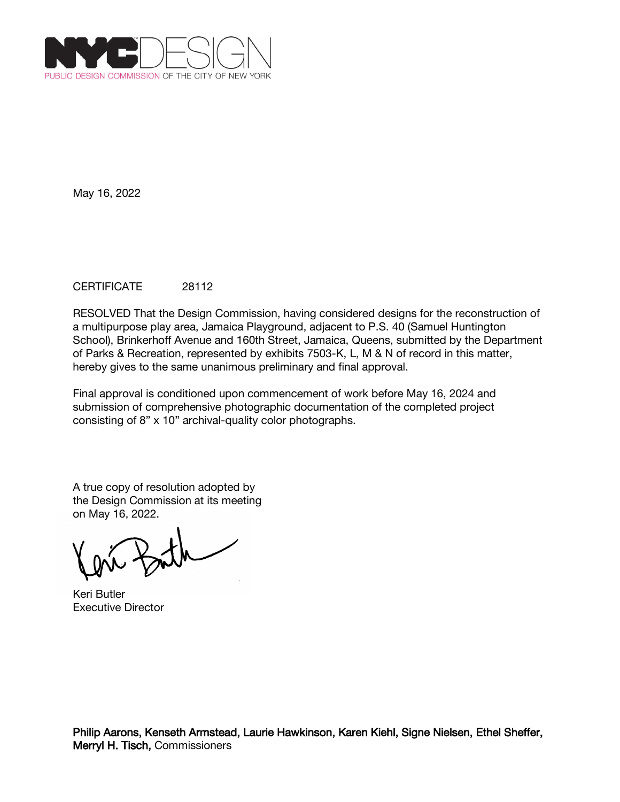

# CERTIFICATE 28112

RESOLVED That the Design Commission, having considered designs for the reconstruction of a multipurpose play area, Jamaica Playground, adjacent to P.S. 40 (Samuel Huntington School), Brinkerhoff Avenue and 160th Street, Jamaica, Queens, submitted by the Department of Parks & Recreation, represented by exhibits 7503-K, L, M & N of record in this matter, hereby gives to the same unanimous preliminary and final approval.

Final approval is conditioned upon commencement of work before May 16, 2024 and submission of comprehensive photographic documentation of the completed project consisting of 8" x 10" archival-quality color photographs.

Keri Butler Executive Director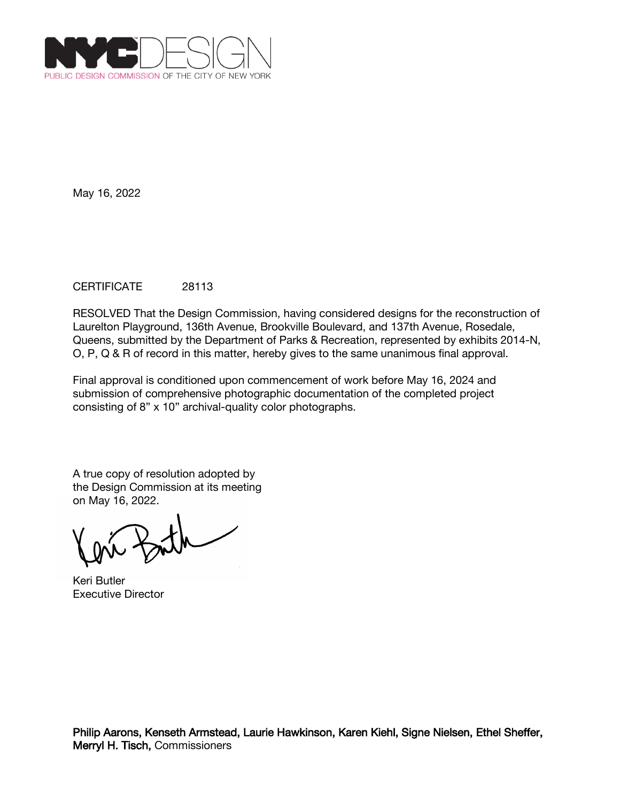

# CERTIFICATE 28113

RESOLVED That the Design Commission, having considered designs for the reconstruction of Laurelton Playground, 136th Avenue, Brookville Boulevard, and 137th Avenue, Rosedale, Queens, submitted by the Department of Parks & Recreation, represented by exhibits 2014-N, O, P, Q & R of record in this matter, hereby gives to the same unanimous final approval.

Final approval is conditioned upon commencement of work before May 16, 2024 and submission of comprehensive photographic documentation of the completed project consisting of 8" x 10" archival-quality color photographs.

Keri Butler Executive Director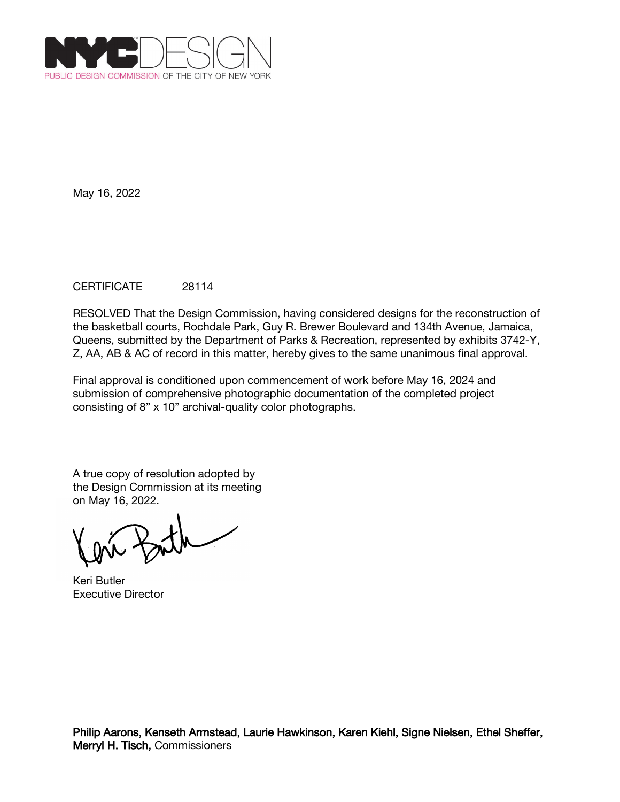

# CERTIFICATE 28114

RESOLVED That the Design Commission, having considered designs for the reconstruction of the basketball courts, Rochdale Park, Guy R. Brewer Boulevard and 134th Avenue, Jamaica, Queens, submitted by the Department of Parks & Recreation, represented by exhibits 3742-Y, Z, AA, AB & AC of record in this matter, hereby gives to the same unanimous final approval.

Final approval is conditioned upon commencement of work before May 16, 2024 and submission of comprehensive photographic documentation of the completed project consisting of 8" x 10" archival-quality color photographs.

Keri Butler Executive Director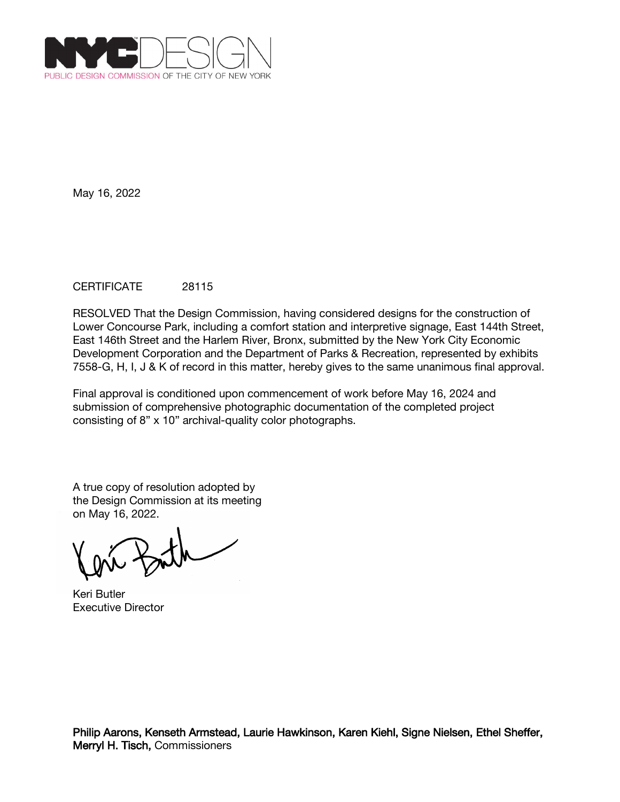

# CERTIFICATE 28115

RESOLVED That the Design Commission, having considered designs for the construction of Lower Concourse Park, including a comfort station and interpretive signage, East 144th Street, East 146th Street and the Harlem River, Bronx, submitted by the New York City Economic Development Corporation and the Department of Parks & Recreation, represented by exhibits 7558-G, H, I, J & K of record in this matter, hereby gives to the same unanimous final approval.

Final approval is conditioned upon commencement of work before May 16, 2024 and submission of comprehensive photographic documentation of the completed project consisting of 8" x 10" archival-quality color photographs.

Keri Butler Executive Director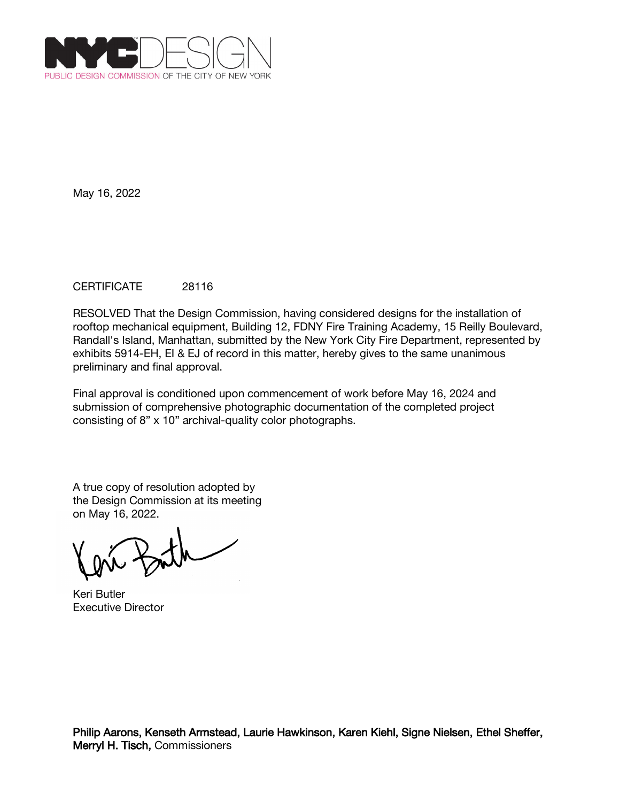

# CERTIFICATE 28116

RESOLVED That the Design Commission, having considered designs for the installation of rooftop mechanical equipment, Building 12, FDNY Fire Training Academy, 15 Reilly Boulevard, Randall's Island, Manhattan, submitted by the New York City Fire Department, represented by exhibits 5914-EH, EI & EJ of record in this matter, hereby gives to the same unanimous preliminary and final approval.

Final approval is conditioned upon commencement of work before May 16, 2024 and submission of comprehensive photographic documentation of the completed project consisting of 8" x 10" archival-quality color photographs.

Keri Butler Executive Director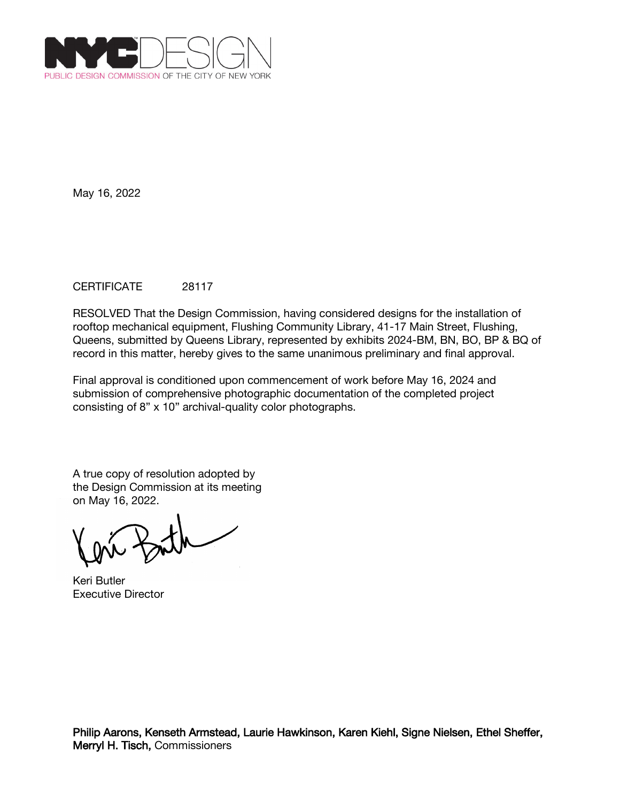

# CERTIFICATE 28117

RESOLVED That the Design Commission, having considered designs for the installation of rooftop mechanical equipment, Flushing Community Library, 41-17 Main Street, Flushing, Queens, submitted by Queens Library, represented by exhibits 2024-BM, BN, BO, BP & BQ of record in this matter, hereby gives to the same unanimous preliminary and final approval.

Final approval is conditioned upon commencement of work before May 16, 2024 and submission of comprehensive photographic documentation of the completed project consisting of 8" x 10" archival-quality color photographs.

Keri Butler Executive Director